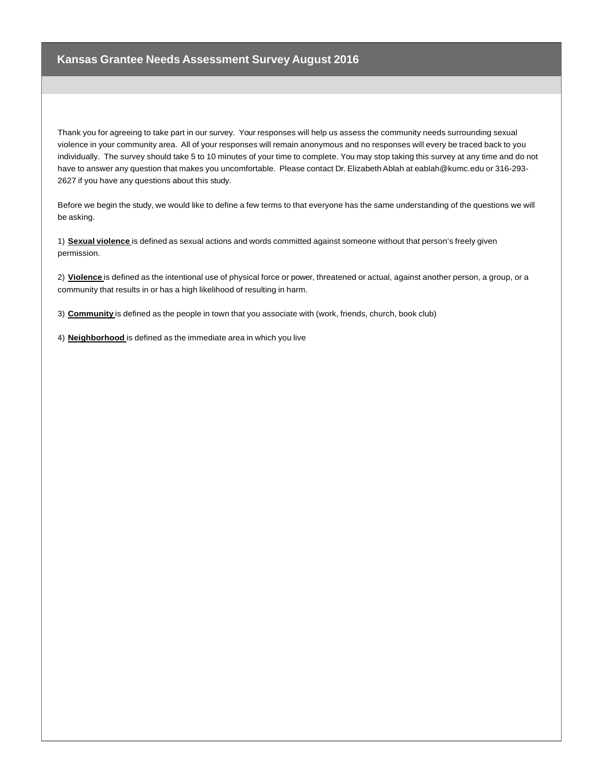Thank you for agreeing to take part in our survey. Your responses will help us assess the community needs surrounding sexual violence in your community area. All of your responses will remain anonymous and no responses will every be traced back to you individually. The survey should take 5 to 10 minutes of your time to complete. You may stop taking this survey at any time and do not have to answer any question that makes you uncomfortable. Please contact Dr. Elizabeth Ablah at [eablah@kumc.edu](mailto:eablah@kumc.edu) or 316-293-2627 if you have any questions about this study.

Before we begin the study, we would like to define a few terms to that everyone has the same understanding of the questions we will be asking.

1) **Sexual violence** is defined as sexual actions and words committed against someone without that person's freely given permission.

2) **Violence** is defined as the intentional use of physical force or power, threatened or actual, against another person, a group, or a community that results in or has a high likelihood of resulting in harm.

3) **Community** is defined as the people in town that you associate with (work, friends, church, book club)

4) **Neighborhood** is defined as the immediate area in which you live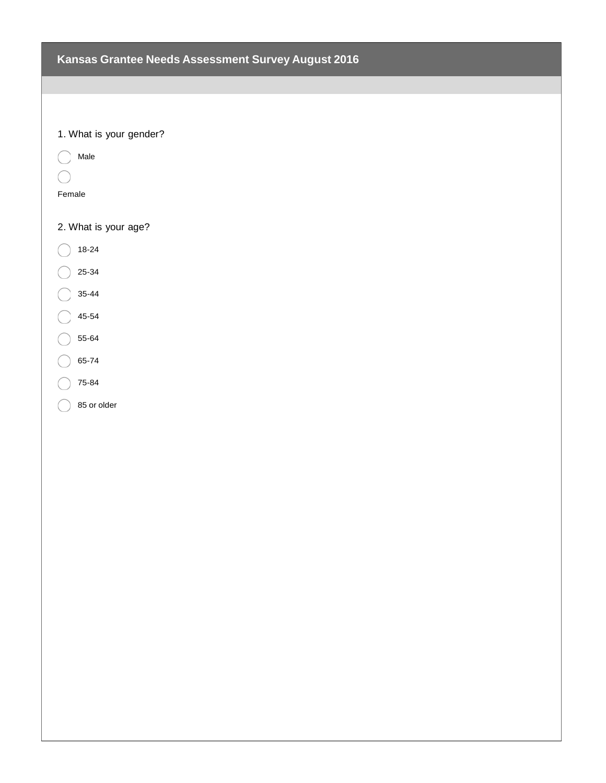|  | Kansas Grantee Needs Assessment Survey August 2016 |  |  |
|--|----------------------------------------------------|--|--|
|--|----------------------------------------------------|--|--|

1. What is your gender?

 $\bigcirc$  Male

 $\bigcap$ 

Female

2. What is your age?

 $\bigcirc$  18-24

 $\bigcirc$  25-34

- $\bigcirc$  35-44
- 45-54  $\bigcap$
- 55-64 C
- 65-74 €.
- 75-84 €.
- ◯ 85 or older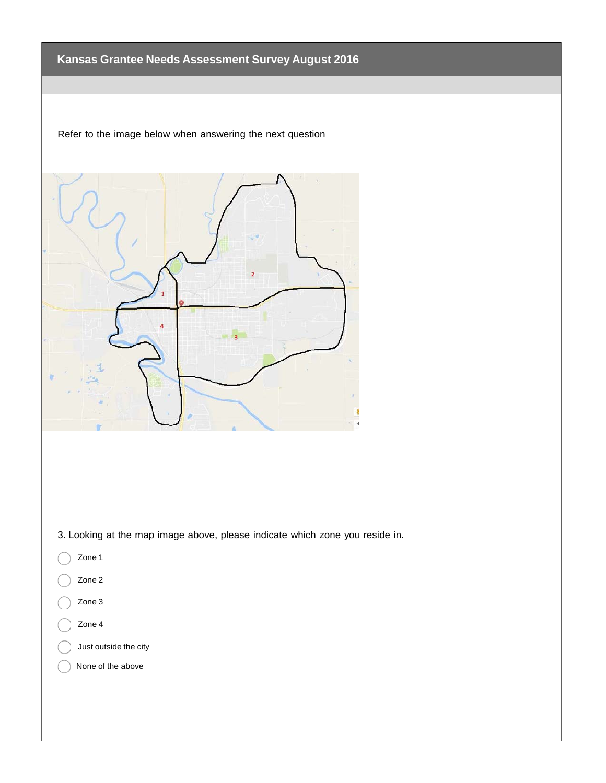Refer to the image below when answering the next question



3. Looking at the map image above, please indicate which zone you reside in.

- Zone 1
- Zone 2
- Zone 3
- Zone 4
- Just outside the city

None of the above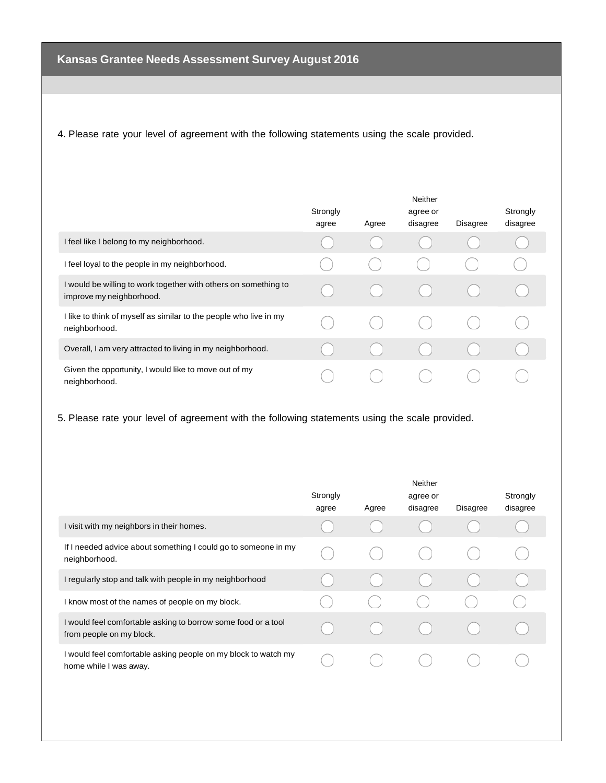4. Please rate your level of agreement with the following statements using the scale provided.

|                                                                                             |                   |       | Neither              |                 |                      |
|---------------------------------------------------------------------------------------------|-------------------|-------|----------------------|-----------------|----------------------|
|                                                                                             | Strongly<br>agree | Agree | agree or<br>disagree | <b>Disagree</b> | Strongly<br>disagree |
|                                                                                             |                   |       |                      |                 |                      |
| I feel like I belong to my neighborhood.                                                    |                   |       |                      |                 |                      |
| I feel loyal to the people in my neighborhood.                                              |                   |       |                      |                 |                      |
| I would be willing to work together with others on something to<br>improve my neighborhood. |                   |       |                      |                 |                      |
| I like to think of myself as similar to the people who live in my<br>neighborhood.          |                   |       |                      |                 |                      |
| Overall, I am very attracted to living in my neighborhood.                                  |                   |       |                      |                 |                      |
| Given the opportunity, I would like to move out of my<br>neighborhood.                      |                   |       |                      |                 |                      |

5. Please rate your level of agreement with the following statements using the scale provided.

|                                                                                           | Strongly<br>agree | Agree | Neither<br>agree or<br>disagree | <b>Disagree</b> | Strongly<br>disagree |
|-------------------------------------------------------------------------------------------|-------------------|-------|---------------------------------|-----------------|----------------------|
| I visit with my neighbors in their homes.                                                 |                   |       |                                 |                 |                      |
| If I needed advice about something I could go to someone in my<br>neighborhood.           |                   |       |                                 |                 |                      |
| I regularly stop and talk with people in my neighborhood                                  |                   |       |                                 |                 |                      |
| I know most of the names of people on my block.                                           |                   |       |                                 |                 |                      |
| I would feel comfortable asking to borrow some food or a tool<br>from people on my block. |                   |       |                                 |                 |                      |
| I would feel comfortable asking people on my block to watch my<br>home while I was away.  |                   |       |                                 |                 |                      |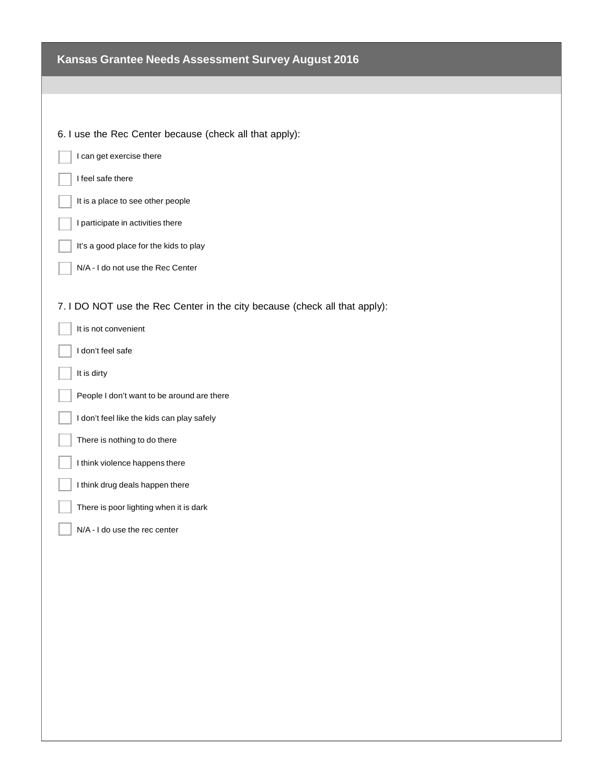| Kansas Grantee Needs Assessment Survey August 2016                         |  |  |  |
|----------------------------------------------------------------------------|--|--|--|
|                                                                            |  |  |  |
|                                                                            |  |  |  |
| 6. I use the Rec Center because (check all that apply):                    |  |  |  |
| I can get exercise there                                                   |  |  |  |
| I feel safe there                                                          |  |  |  |
| It is a place to see other people                                          |  |  |  |
| I participate in activities there                                          |  |  |  |
| It's a good place for the kids to play                                     |  |  |  |
| N/A - I do not use the Rec Center                                          |  |  |  |
|                                                                            |  |  |  |
| 7. I DO NOT use the Rec Center in the city because (check all that apply): |  |  |  |
| It is not convenient                                                       |  |  |  |
| I don't feel safe                                                          |  |  |  |
| It is dirty                                                                |  |  |  |
| People I don't want to be around are there                                 |  |  |  |
| I don't feel like the kids can play safely                                 |  |  |  |
| There is nothing to do there                                               |  |  |  |
| I think violence happens there                                             |  |  |  |
| I think drug deals happen there                                            |  |  |  |
| There is poor lighting when it is dark                                     |  |  |  |
| N/A - I do use the rec center                                              |  |  |  |
|                                                                            |  |  |  |
|                                                                            |  |  |  |
|                                                                            |  |  |  |
|                                                                            |  |  |  |
|                                                                            |  |  |  |
|                                                                            |  |  |  |
|                                                                            |  |  |  |
|                                                                            |  |  |  |
|                                                                            |  |  |  |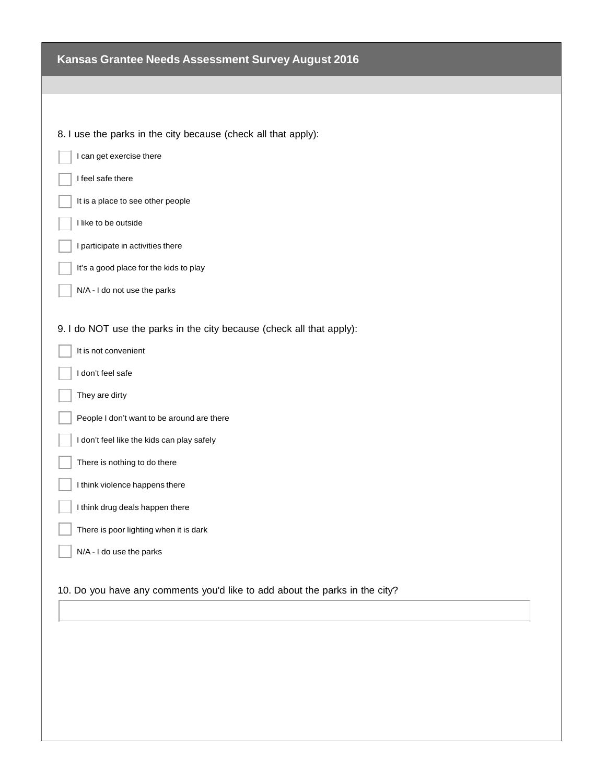| Kansas Grantee Needs Assessment Survey August 2016                          |  |  |  |
|-----------------------------------------------------------------------------|--|--|--|
|                                                                             |  |  |  |
|                                                                             |  |  |  |
| 8. I use the parks in the city because (check all that apply):              |  |  |  |
| I can get exercise there                                                    |  |  |  |
| I feel safe there                                                           |  |  |  |
| It is a place to see other people                                           |  |  |  |
| I like to be outside                                                        |  |  |  |
| I participate in activities there                                           |  |  |  |
| It's a good place for the kids to play                                      |  |  |  |
| N/A - I do not use the parks                                                |  |  |  |
|                                                                             |  |  |  |
| 9. I do NOT use the parks in the city because (check all that apply):       |  |  |  |
| It is not convenient                                                        |  |  |  |
| I don't feel safe                                                           |  |  |  |
| They are dirty                                                              |  |  |  |
| People I don't want to be around are there                                  |  |  |  |
| I don't feel like the kids can play safely                                  |  |  |  |
| There is nothing to do there                                                |  |  |  |
| I think violence happens there                                              |  |  |  |
| I think drug deals happen there                                             |  |  |  |
| There is poor lighting when it is dark                                      |  |  |  |
| N/A - I do use the parks                                                    |  |  |  |
|                                                                             |  |  |  |
| 10. Do you have any comments you'd like to add about the parks in the city? |  |  |  |
|                                                                             |  |  |  |
|                                                                             |  |  |  |
|                                                                             |  |  |  |
|                                                                             |  |  |  |
|                                                                             |  |  |  |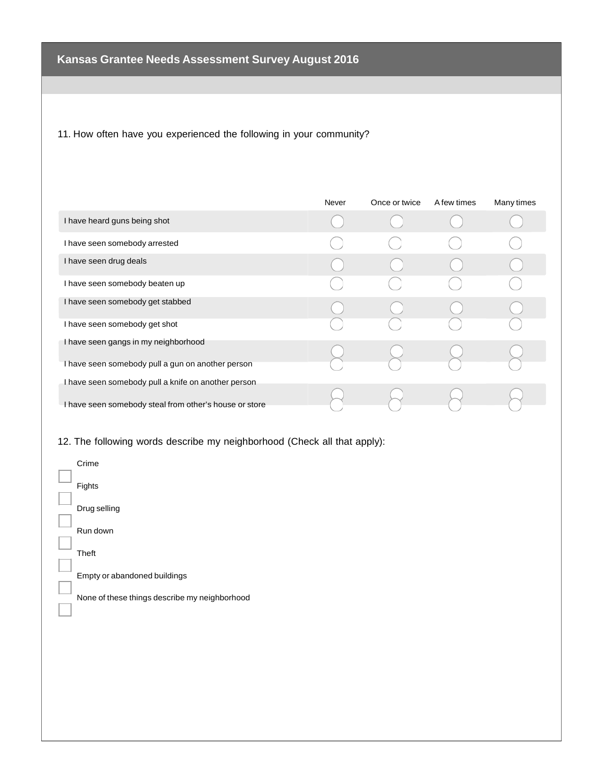#### 11. How often have you experienced the following in your community?

|                                                        | Never | Once or twice | A few times | Many times |
|--------------------------------------------------------|-------|---------------|-------------|------------|
| I have heard guns being shot                           |       |               |             |            |
| I have seen somebody arrested                          |       |               |             |            |
| I have seen drug deals                                 |       |               |             |            |
| I have seen somebody beaten up                         |       |               |             |            |
| I have seen somebody get stabbed                       |       |               |             |            |
| I have seen somebody get shot                          |       |               |             |            |
| I have seen gangs in my neighborhood                   |       |               |             |            |
| I have seen somebody pull a gun on another person      |       |               |             |            |
| I have seen somebody pull a knife on another person    |       |               |             |            |
| I have seen somebody steal from other's house or store |       |               |             |            |

12. The following words describe my neighborhood (Check all that apply):

| Crime                                         |
|-----------------------------------------------|
| Fights                                        |
| Drug selling                                  |
| Run down                                      |
| Theft                                         |
| Empty or abandoned buildings                  |
| None of these things describe my neighborhood |
|                                               |
|                                               |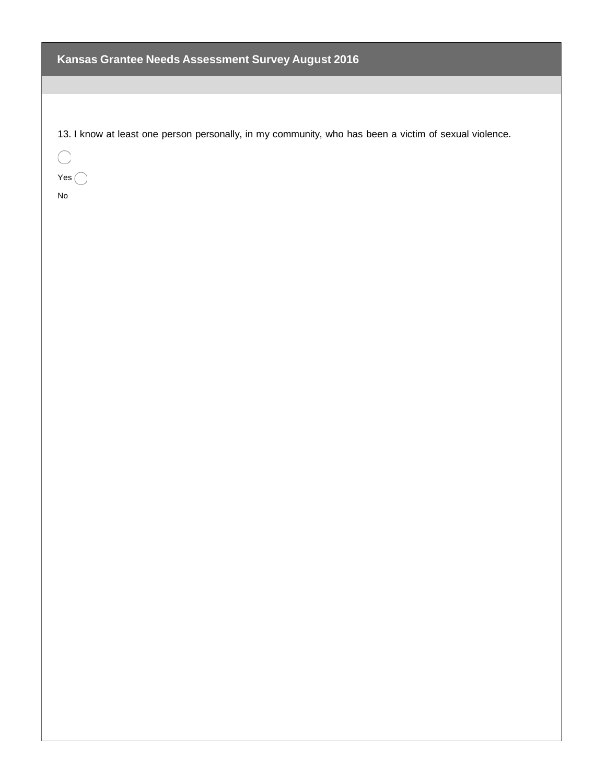| Kansas Grantee Needs Assessment Survey August 2016 |  |  |  |
|----------------------------------------------------|--|--|--|
|----------------------------------------------------|--|--|--|

13. I know at least one person personally, in my community, who has been a victim of sexual violence.

Yes  $\bigcirc$ 

 $\bigcirc$ 

No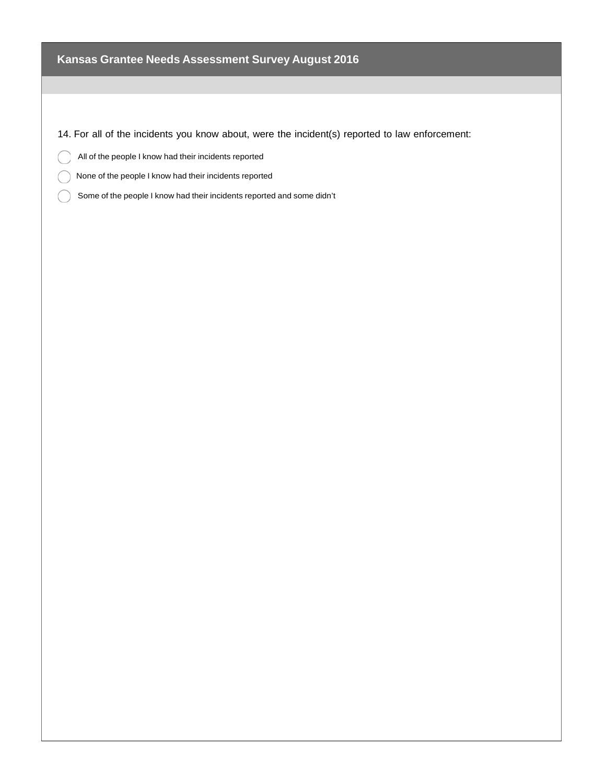14. For all of the incidents you know about, were the incident(s) reported to law enforcement:

All of the people I know had their incidents reported

€.

None of the people I know had their incidents reported

Some of the people I know had their incidents reported and some didn't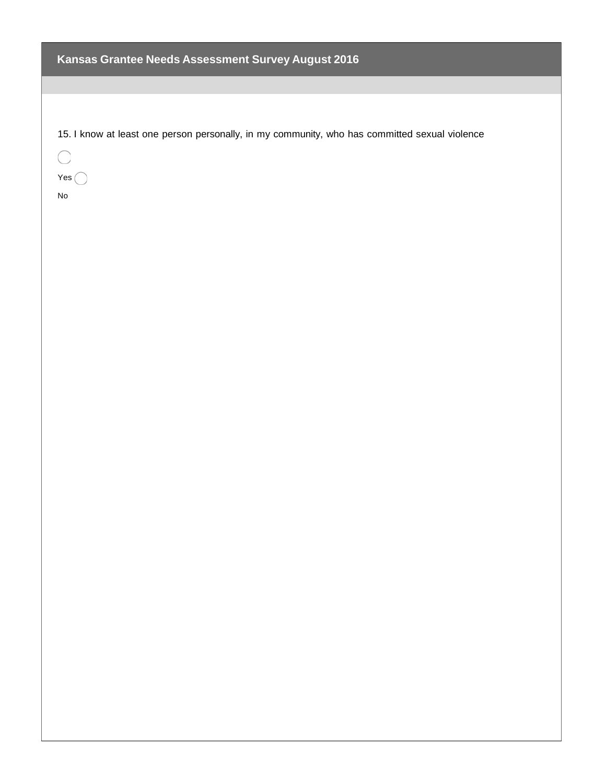|  |  | Kansas Grantee Needs Assessment Survey August 2016 |
|--|--|----------------------------------------------------|
|--|--|----------------------------------------------------|

15. I know at least one person personally, in my community, who has committed sexual violence

Yes  $\bigcirc$ 

 $\bigcirc$ 

No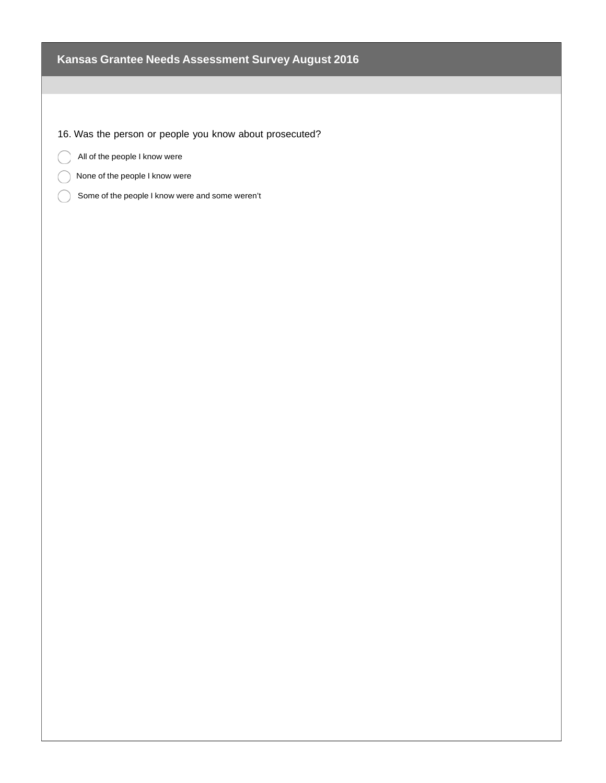16. Was the person or people you know about prosecuted?

All of the people I know were

None of the people I know were

Some of the people I know were and some weren't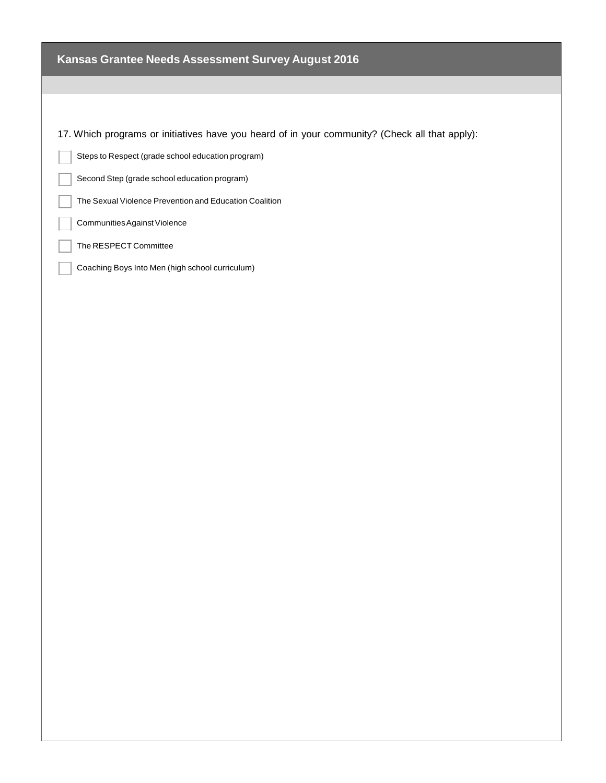| Kansas Grantee Needs Assessment Survey August 2016                                             |  |
|------------------------------------------------------------------------------------------------|--|
|                                                                                                |  |
|                                                                                                |  |
| 17. Which programs or initiatives have you heard of in your community? (Check all that apply): |  |
| Steps to Respect (grade school education program)                                              |  |
| Second Step (grade school education program)                                                   |  |
| The Sexual Violence Prevention and Education Coalition                                         |  |
| Communities Against Violence                                                                   |  |
| The RESPECT Committee                                                                          |  |
| Coaching Boys Into Men (high school curriculum)                                                |  |
|                                                                                                |  |
|                                                                                                |  |
|                                                                                                |  |
|                                                                                                |  |
|                                                                                                |  |
|                                                                                                |  |
|                                                                                                |  |
|                                                                                                |  |
|                                                                                                |  |
|                                                                                                |  |
|                                                                                                |  |
|                                                                                                |  |
|                                                                                                |  |
|                                                                                                |  |
|                                                                                                |  |
|                                                                                                |  |
|                                                                                                |  |
|                                                                                                |  |
|                                                                                                |  |
|                                                                                                |  |